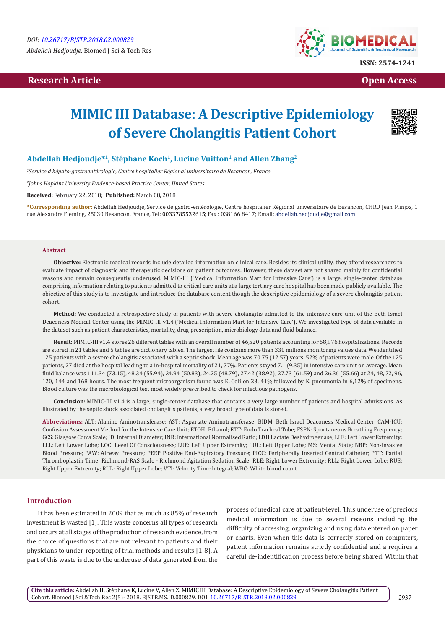# **Research Article Open Access Contract Article Open Access Open Access**



# **MIMIC III Database: A Descriptive Epidemiology of Severe Cholangitis Patient Cohort**



# Abdellah Hedjoudje<sup>\*1</sup>, Stéphane Koch<sup>1</sup>, Lucine Vuitton<sup>1</sup> and Allen Zhang<sup>2</sup>

*1 Service d'hépato-gastroentérologie, Centre hospitalier Régional universitaire de Besancon, France*

*2 Johns Hopkins University Evidence-based Practice Center, United States*

**Received:** February 22, 2018; **Published:** March 08, 2018

**\*Corresponding author:** Abdellah Hedjoudje, Service de gastro-entérologie, Centre hospitalier Régional universitaire de Besancon, CHRU Jean Minjoz, 1 rue Alexandre Fleming, 25030 Besancon, France, Tel: 0033785532615; Fax : 038166 8417; Email: abdellah.hedjoudje@gmail.com

#### **Abstract**

**Objective:** Electronic medical records include detailed information on clinical care. Besides its clinical utility, they afford researchers to evaluate impact of diagnostic and therapeutic decisions on patient outcomes. However, these dataset are not shared mainly for confidential reasons and remain consequently underused. MIMIC-III ('Medical Information Mart for Intensive Care') is a large, single-center database comprising information relating to patients admitted to critical care units at a large tertiary care hospital has been made publicly available. The objective of this study is to investigate and introduce the database content though the descriptive epidemiology of a severe cholangitis patient cohort.

**Method:** We conducted a retrospective study of patients with severe cholangitis admitted to the intensive care unit of the Beth Israel Deaconess Medical Center using the MIMIC-III v1.4 ('Medical Information Mart for Intensive Care'). We investigated type of data available in the dataset such as patient characteristics, mortality, drug prescription, microbiology data and fluid balance.

**Result:** MIMIC-III v1.4 stores 26 different tables with an overall number of 46,520 patients accounting for 58,976 hospitalizations. Records are stored in 21 tables and 5 tables are dictionary tables. The largest file contains more than 330 millions monitoring values data. We identified 125 patients with a severe cholangitis associated with a septic shock. Mean age was 70.75 (12.57) years. 52% of patients were male. Of the 125 patients, 27 died at the hospital leading to a in-hospital mortality of 21, 77%. Patients stayed 7.1 (9.35) in intensive care unit on average. Mean fluid balance was 111.34 (73.15), 48.34 (55.94), 34.94 (50.83), 24.25 (48.79), 27.42 (38.92), 27.73 (61.59) and 26.36 (55.66) at 24, 48, 72, 96, 120, 144 and 168 hours. The most frequent microorganism found was E. Coli on 23, 41% followed by K. pneumonia in 6,12% of specimens. Blood culture was the microbiological test most widely prescribed to check for infectious pathogens.

**Conclusion:** MIMIC-III v1.4 is a large, single-center database that contains a very large number of patients and hospital admissions. As illustrated by the septic shock associated cholangitis patients, a very broad type of data is stored.

**Abbreviations:** ALT: Alanine Aminotransferase; AST: Aspartate Aminotransferase; BIDM: Beth Israel Deaconess Medical Center; CAM-ICU: Confusion Assessment Method for the Intensive Care Unit; ETOH: Ethanol; ETT: Endo Tracheal Tube; FSPN: Spontaneous Breathing Frequency; GCS: Glasgow Coma Scale; ID: Internal Diameter; INR: International Normalised Ratio; LDH Lactate Deshydrogenase; LLE: Left Lower Extremity; LLL: Left Lower Lobe; LOC: Level Of Consciousness; LUE: Left Upper Extremity; LUL: Left Upper Lobe; MS: Mental State; NBP: Non-invasive Blood Pressure; PAW: Airway Pressure; PEEP Positive End-Expiratory Pressure; PICC: Peripherally Inserted Central Catheter; PTT: Partial Thromboplastin Time; Richmond-RAS Scale - Richmond Agitation Sedation Scale; RLE: Right Lower Extremity; RLL: Right Lower Lobe; RUE: Right Upper Extremity; RUL: Right Upper Lobe; VTI: Velocity Time Integral; WBC: White blood count

### **Introduction**

It has been estimated in 2009 that as much as 85% of research investment is wasted [1]. This waste concerns all types of research and occurs at all stages of the production of research evidence, from the choice of questions that are not relevant to patients and their physicians to under-reporting of trial methods and results [1-8]. A part of this waste is due to the underuse of data generated from the

process of medical care at patient-level. This underuse of precious medical information is due to several reasons including the difficulty of accessing, organizing and using data entered on paper or charts. Even when this data is correctly stored on computers, patient information remains strictly confidential and a requires a careful de-indentification process before being shared. Within that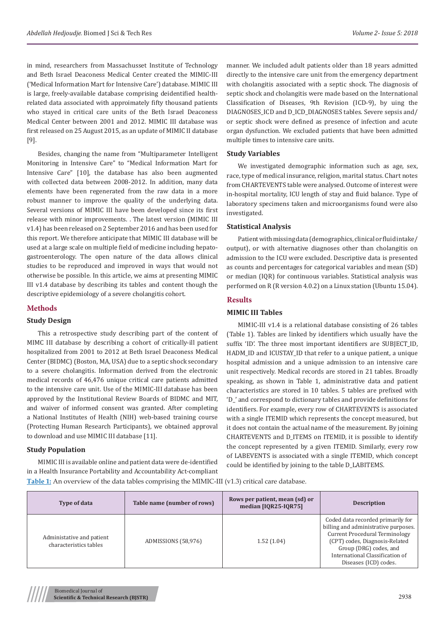in mind, researchers from Massachusset Institute of Technology and Beth Israel Deaconess Medical Center created the MIMIC-III ('Medical Information Mart for Intensive Care') database. MIMIC III is large, freely-available database comprising deidentified healthrelated data associated with approimately fifty thousand patients who stayed in critical care units of the Beth Israel Deaconess Medical Center between 2001 and 2012. MIMIC III database was first released on 25 August 2015, as an update of MIMIC II database [9].

Besides, changing the name from "Multiparameter Intelligent Monitoring in Intensive Care" to "Medical Information Mart for Intensive Care" [10], the database has also been augmented with collected data between 2008-2012. In addition, many data elements have been regenerated from the raw data in a more robust manner to improve the quality of the underlying data. Several versions of MIMIC III have been developed since its first release with minor improvements. . The latest version (MIMIC III v1.4) has been released on 2 September 2016 and has been used for this report. We therefore anticipate that MIMIC III database will be used at a large scale on multiple field of medicine including hepatogastroenterology. The open nature of the data allows clinical studies to be reproduced and improved in ways that would not otherwise be possible. In this article, we aims at presenting MIMIC III v1.4 database by describing its tables and content though the descriptive epidemiology of a severe cholangitis cohort.

# **Methods**

# **Study Design**

This a retrospective study describing part of the content of MIMC III database by describing a cohort of critically-ill patient hospitalized from 2001 to 2012 at Beth Israel Deaconess Medical Center (BIDMC) (Boston, MA, USA) due to a septic shock secondary to a severe cholangitis. Information derived from the electronic medical records of 46,476 unique critical care patients admitted to the intensive care unit. Use of the MIMIC-III database has been approved by the Institutional Review Boards of BIDMC and MIT, and waiver of informed consent was granted. After completing a National Institutes of Health (NIH) web-based training course (Protecting Human Research Participants), we obtained approval to download and use MIMIC III database [11].

# **Study Population**

MIMIC III is available online and patient data were de-identified in a Health Insurance Portability and Accountability Act-compliant manner. We included adult patients older than 18 years admitted directly to the intensive care unit from the emergency department with cholangitis associated with a septic shock. The diagnosis of septic shock and cholangitis were made based on the International Classification of Diseases, 9th Revision (ICD-9), by uing the DIAGNOSES\_ICD and D\_ICD\_DIAGNOSES tables. Severe sepsis and/ or septic shock were defined as presence of infection and acute organ dysfunction. We excluded patients that have been admitted multiple times to intensive care units.

# **Study Variables**

We investigated demographic information such as age, sex, race, type of medical insurance, religion, marital status. Chart notes from CHARTEVENTS table were analysed. Outcome of interest were in-hospital mortality, ICU length of stay and fluid balance. Type of laboratory specimens taken and microorganisms found were also investigated.

# **Statistical Analysis**

Patient with missing data (demographics, clinical or fluid intake/ output), or with alternative diagnoses other than cholangitis on admission to the ICU were excluded. Descriptive data is presented as counts and percentages for categorical variables and mean (SD) or median (IQR) for continuous variables. Statistical analysis was performed on R (R version 4.0.2) on a Linux station (Ubuntu 15.04).

# **Results**

# **MIMIC III Tables**

MIMIC-III v1.4 is a relational database consisting of 26 tables (Table 1). Tables are linked by identifiers which usually have the suffix 'ID'. The three most important identifiers are SUBJECT ID, HADM\_ID and ICUSTAY\_ID that refer to a unique patient, a unique hospital admission and a unique admission to an intensive care unit respectively. Medical records are stored in 21 tables. Broadly speaking, as shown in Table 1, administrative data and patient characteristics are stored in 10 tables. 5 tables are prefixed with 'D\_' and correspond to dictionary tables and provide definitions for identifiers. For example, every row of CHARTEVENTS is associated with a single ITEMID which represents the concept measured, but it does not contain the actual name of the measurement. By joining CHARTEVENTS and D\_ITEMS on ITEMID, it is possible to identify the concept represented by a given ITEMID. Similarly, every row of LABEVENTS is associated with a single ITEMID, which concept could be identified by joining to the table D\_LABITEMS.

**Table 1:** An overview of the data tables comprising the MIMIC-III (v1.3) critical care database.

| Type of data                                        | Table name (number of rows) | Rows per patient, mean (sd) or<br>median [IQR25-IQR75] | <b>Description</b>                                                                                                                                                                                                                         |
|-----------------------------------------------------|-----------------------------|--------------------------------------------------------|--------------------------------------------------------------------------------------------------------------------------------------------------------------------------------------------------------------------------------------------|
| Administative and patient<br>characteristics tables | ADMISSIONS (58,976)         | 1.52(1.04)                                             | Coded data recorded primarily for<br>billing and administrative purposes.<br><b>Current Procedural Terminology</b><br>(CPT) codes, Diagnosis-Related<br>Group (DRG) codes, and<br>International Classification of<br>Diseases (ICD) codes. |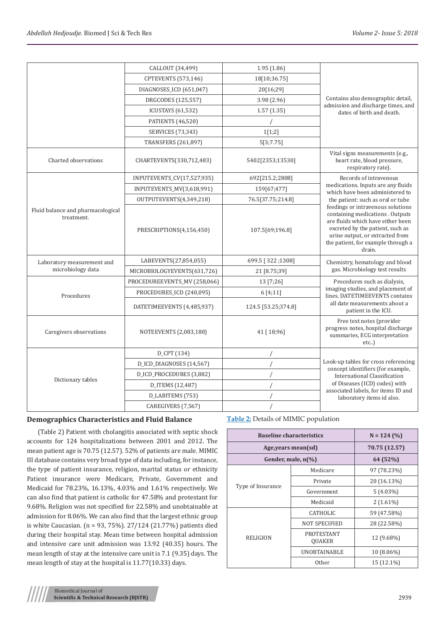|                                                 | CALLOUT (34,499)             | 1.95(1.86)          |                                                                                                                                                                                                                                   |
|-------------------------------------------------|------------------------------|---------------------|-----------------------------------------------------------------------------------------------------------------------------------------------------------------------------------------------------------------------------------|
|                                                 | <b>CPTEVENTS</b> (573,146)   | 18[10;36.75]        |                                                                                                                                                                                                                                   |
|                                                 | DIAGNOSES_ICD (651,047)      | 20[16;29]           |                                                                                                                                                                                                                                   |
|                                                 | DRGCODES (125,557)           | 3.98(2.96)          | Contains also demographic detail,                                                                                                                                                                                                 |
|                                                 | <b>ICUSTAYS</b> (61,532)     | 1.57(1.35)          | admission and discharge times, and<br>dates of birth and death.                                                                                                                                                                   |
|                                                 | PATIENTS (46,520)            |                     |                                                                                                                                                                                                                                   |
|                                                 | SERVICES (73,343)            | 1[1;2]              |                                                                                                                                                                                                                                   |
|                                                 | <b>TRANSFERS (261,897)</b>   | 5[3;7.75]           |                                                                                                                                                                                                                                   |
| Charted observations                            | CHARTEVENTS(330,712,483)     | 5402[2353;13530]    | Vital signs measurements (e.g.,<br>heart rate, blood pressure,<br>respiratory rate).                                                                                                                                              |
|                                                 | INPUTEVENTS_CV(17,527,935)   | 692[215.2;2808]     | Records of intravenous                                                                                                                                                                                                            |
|                                                 | INPUTEVENTS_MV(3,618,991)    | 159[67;477]         | medications. Inputs are any fluids<br>which have been administered to                                                                                                                                                             |
|                                                 | OUTPUTEVENTS(4,349,218)      | 76.5[37.75;214.8]   | the patient: such as oral or tube                                                                                                                                                                                                 |
| Fluid balance and pharmacological<br>treatment. | PRESCRIPTIONS(4,156,450)     | 107.5[69;196.8]     | feedings or intravenous solutions<br>containing medications . Outputs<br>are fluids which have either been<br>excreted by the patient, such as<br>urine output, or extracted from<br>the patient, for example through a<br>drain. |
| Laboratory measurement and                      | LABEVENTS(27,854,055)        | 699.5 [322;1308]    | Chemistry, hematology and blood                                                                                                                                                                                                   |
| microbiology data                               | MICROBIOLOGYEVENTS(631,726)  | 21 [8.75;39]        | gas. Microbiology test results                                                                                                                                                                                                    |
|                                                 | PROCEDUREEVENTS_MV (258,066) | 13 [7;26]           | Procedures such as dialysis,                                                                                                                                                                                                      |
| Procedures                                      | PROCEDURES_ICD (240,095)     | 6[4;11]             | imaging studies, and placement of<br>lines. DATETIMEEVENTS contains                                                                                                                                                               |
|                                                 | DATETIMEEVENTS (4,485,937)   | 124.5 [53.25;374.8] | all date measurements about a<br>patient in the ICU.                                                                                                                                                                              |
| Caregivers observations                         | NOTEEVENTS (2,083,180)       | 41 [ 18;96]         | Free text notes (provider<br>progress notes, hospital discharge<br>summaries, ECG interpretation<br>$etc.$ )                                                                                                                      |
|                                                 | D_CPT (134)                  |                     |                                                                                                                                                                                                                                   |
|                                                 | D_ICD_DIAGNOSES (14,567)     |                     | Look-up tables for cross referencing<br>concept identifiers (for example,                                                                                                                                                         |
|                                                 | D_ICD_PROCEDURES (3,882)     |                     | International Classification                                                                                                                                                                                                      |
| Dictionary tables                               | D_ITEMS (12,487)             |                     | of Diseases (ICD) codes) with                                                                                                                                                                                                     |
|                                                 | D_LABITEMS (753)             |                     | associated labels, for items ID and<br>laboratory items id also.                                                                                                                                                                  |
|                                                 | CAREGIVERS (7,567)           |                     |                                                                                                                                                                                                                                   |

# **Demographics Characteristics and Fluid Balance**

(Table 2) Patient with cholangitis associated with septic shock accounts for 124 hospitalizations between 2001 and 2012. The mean patient age is 70.75 (12.57). 52% of patients are male. MIMIC III database contains very broad type of data including, for instance, the type of patient insurance, religion, marital status or ethnicity Patient insurance were Medicare, Private, Government and Medicaid for 78.23%, 16.13%, 4.03% and 1.61% respectively. We can also find that patient is catholic for 47.58% and protestant for 9.68%. Religion was not specified for 22.58% and unobtainable at admission for 8.06%. We can also find that the largest ethnic group is white Caucasian. (n = 93, 75%). 27/124 (21.77%) patients died during their hospital stay. Mean time between hospital admission and intensive care unit admission was 13.92 (40.35) hours. The mean length of stay at the intensive care unit is 7.1 (9.35) days. The mean length of stay at the hospital is 11.77(10.33) days.

**Table 2:** Details of MIMIC population

|                       | <b>Baseline characteristics</b> | $N = 124 (%)$ |
|-----------------------|---------------------------------|---------------|
| Age, years mean(sd)   |                                 | 70.75 (12.57) |
| Gender, male, $n(\%)$ |                                 | 64 (52%)      |
|                       | Medicare                        | 97 (78.23%)   |
| Type of Insurance     | Private                         | 20 (16.13%)   |
|                       | Government                      | $5(4.03\%)$   |
|                       | Medicaid                        | $2(1.61\%)$   |
|                       | <b>CATHOLIC</b>                 | 59 (47.58%)   |
| <b>RELIGION</b>       | <b>NOT SPECIFIED</b>            | 28 (22.58%)   |
|                       | PROTESTANT<br><b>OUAKER</b>     | 12 (9.68%)    |
|                       | <b>UNOBTAINABLE</b>             | 10 (8.06%)    |
|                       | 0ther                           | 15 (12.1%)    |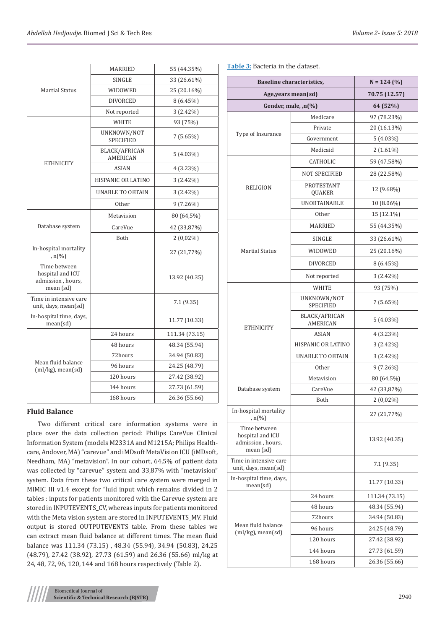|                                                                    | <b>MARRIED</b>                   | 55 (44.35%)    |
|--------------------------------------------------------------------|----------------------------------|----------------|
|                                                                    | SINGLE                           | 33 (26.61%)    |
| <b>Martial Status</b>                                              | WIDOWED                          | 25 (20.16%)    |
|                                                                    | <b>DIVORCED</b>                  | $8(6.45\%)$    |
|                                                                    | Not reported                     | $3(2.42\%)$    |
|                                                                    | WHITE                            | 93 (75%)       |
|                                                                    | UNKNOWN/NOT<br><b>SPECIFIED</b>  | 7(5.65%)       |
|                                                                    | BLACK/AFRICAN<br><b>AMERICAN</b> | $5(4.03\%)$    |
| <b>ETHNICITY</b>                                                   | <b>ASIAN</b>                     | $4(3.23\%)$    |
|                                                                    | HISPANIC OR LATINO               | $3(2.42\%)$    |
|                                                                    | <b>UNABLE TO OBTAIN</b>          | $3(2.42\%)$    |
|                                                                    | <b>Other</b>                     | $9(7.26\%)$    |
|                                                                    | Metavision                       | 80 (64,5%)     |
| Database system                                                    | CareVue                          | 42 (33,87%)    |
|                                                                    | Both                             | $2(0,02\%)$    |
| In-hospital mortality<br>, $n$ (%)                                 |                                  | 27 (21,77%)    |
| Time between<br>hospital and ICU<br>admission, hours,<br>mean (sd) |                                  | 13.92 (40.35)  |
| Time in intensive care<br>unit, days, mean(sd)                     |                                  | 7.1(9.35)      |
| In-hospital time, days,<br>mean(sd)                                |                                  | 11.77 (10.33)  |
|                                                                    | 24 hours                         | 111.34 (73.15) |
|                                                                    | 48 hours                         | 48.34 (55.94)  |
|                                                                    | 72hours                          | 34.94 (50.83)  |
| Mean fluid balance<br>$(ml/kg)$ , mean $(sd)$                      | 96 hours                         | 24.25 (48.79)  |
|                                                                    | 120 hours                        | 27.42 (38.92)  |
|                                                                    | 144 hours                        | 27.73 (61.59)  |
|                                                                    | 168 hours                        | 26.36 (55.66)  |
|                                                                    |                                  |                |

# **Fluid Balance**

Two different critical care information systems were in place over the data collection period: Philips CareVue Clinical Information System (models M2331A and M1215A; Philips Healthcare, Andover, MA) "carevue" and iMDsoft MetaVision ICU (iMDsoft, Needham, MA) "metavision". In our cohort, 64,5% of patient data was collected by "carevue" system and 33,87% with "metavision" system. Data from these two critical care system were merged in MIMIC III v1.4 except for "luid input which remains divided in 2 tables : inputs for patients monitored with the Carevue system are stored in INPUTEVENTS\_CV, whereas inputs for patients monitored with the Meta vision system are stored in INPUTEVENTS\_MV. Fluid output is stored OUTPUTEVENTS table. From these tables we can extract mean fluid balance at different times. The mean fluid balance was 111.34 (73.15) , 48.34 (55.94), 34.94 (50.83), 24.25 (48.79), 27.42 (38.92), 27.73 (61.59) and 26.36 (55.66) ml/kg at 24, 48, 72, 96, 120, 144 and 168 hours respectively (Table 2).

| <b>Baseline characteristics,</b>                                   |                                         | $N = 124 (%)$  |
|--------------------------------------------------------------------|-----------------------------------------|----------------|
| Age, years mean(sd)                                                |                                         | 70.75 (12.57)  |
| Gender, male, ,n(%)                                                |                                         | 64 (52%)       |
|                                                                    | Medicare                                | 97 (78.23%)    |
| Type of Insurance                                                  | Private                                 | 20 (16.13%)    |
|                                                                    | Government                              | $5(4.03\%)$    |
|                                                                    | Medicaid                                | $2(1.61\%)$    |
|                                                                    | <b>CATHOLIC</b>                         | 59 (47.58%)    |
| <b>RELIGION</b>                                                    | <b>NOT SPECIFIED</b>                    | 28 (22.58%)    |
|                                                                    | PROTESTANT<br>QUAKER                    | 12 (9.68%)     |
|                                                                    | <b>UNOBTAINABLE</b>                     | 10 (8.06%)     |
|                                                                    | 0ther                                   | 15 (12.1%)     |
|                                                                    | MARRIED                                 | 55 (44.35%)    |
|                                                                    | SINGLE                                  | 33 (26.61%)    |
| <b>Martial Status</b>                                              | WIDOWED                                 | 25 (20.16%)    |
|                                                                    | <b>DIVORCED</b>                         | $8(6.45\%)$    |
|                                                                    | Not reported                            | $3(2.42\%)$    |
|                                                                    | WHITE                                   | 93 (75%)       |
|                                                                    | UNKNOWN/NOT<br><b>SPECIFIED</b>         | 7(5.65%)       |
| <b>ETHNICITY</b>                                                   | <b>BLACK/AFRICAN</b><br><b>AMERICAN</b> | $5(4.03\%)$    |
|                                                                    | <b>ASIAN</b>                            | 4 (3.23%)      |
|                                                                    | HISPANIC OR LATINO                      | $3(2.42\%)$    |
|                                                                    | <b>UNABLE TO OBTAIN</b>                 | $3(2.42\%)$    |
|                                                                    | Other                                   | $9(7.26\%)$    |
|                                                                    | Metavision                              | 80 (64,5%)     |
| Database system                                                    | CareVue                                 | 42 (33,87%)    |
|                                                                    | Both                                    | $2(0,02\%)$    |
| In-hospital mortality<br>, $n(\%)$                                 |                                         | 27 (21,77%)    |
| Time between<br>hospital and ICU<br>admission, hours,<br>mean (sd) |                                         | 13.92 (40.35)  |
| Time in intensive care<br>unit, days, mean(sd)                     |                                         | 7.1 (9.35)     |
| In-hospital time, days,<br>mean(sd)                                |                                         | 11.77 (10.33)  |
|                                                                    | 24 hours                                | 111.34 (73.15) |
|                                                                    | 48 hours                                | 48.34 (55.94)  |
|                                                                    | 72hours                                 | 34.94 (50.83)  |
| Mean fluid balance<br>$(ml/kg)$ , mean $ sd)$                      | 96 hours                                | 24.25 (48.79)  |
|                                                                    | 120 hours                               | 27.42 (38.92)  |
|                                                                    | 144 hours                               | 27.73 (61.59)  |
|                                                                    | 168 hours                               | 26.36 (55.66)  |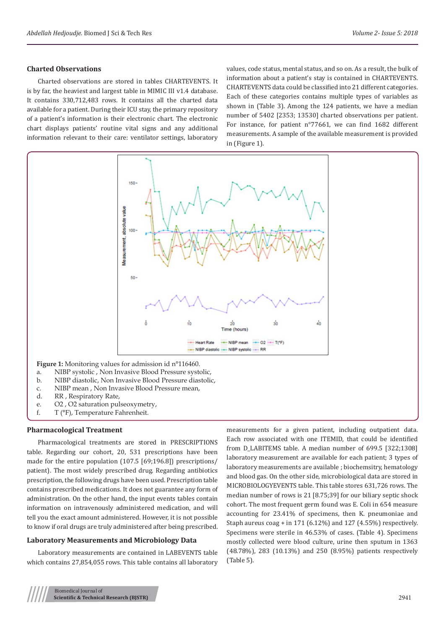# **Charted Observations**

Charted observations are stored in tables CHARTEVENTS. It is by far, the heaviest and largest table in MIMIC III v1.4 database. It contains 330,712,483 rows. It contains all the charted data available for a patient. During their ICU stay, the primary repository of a patient's information is their electronic chart. The electronic chart displays patients' routine vital signs and any additional information relevant to their care: ventilator settings, laboratory

values, code status, mental status, and so on. As a result, the bulk of information about a patient's stay is contained in CHARTEVENTS. CHARTEVENTS data could be classified into 21 different categories. Each of these categories contains multiple types of variables as shown in (Table 3). Among the 124 patients, we have a median number of 5402 [2353; 13530] charted observations per patient. For instance, for patient n°77661, we can find 1682 different measurements. A sample of the available measurement is provided in (Figure 1).



- **Figure 1:** Monitoring values for admission id n°116460.
- a. NIBP systolic , Non Invasive Blood Pressure systolic, b. NIBP diastolic, Non Invasive Blood Pressure diastolic,
- c. NIBP mean , Non Invasive Blood Pressure mean,
- d. RR , Respiratory Rate,
- 
- e. O2 , O2 saturation pulseoxymetry,
- f. T (°F), Temperature Fahrenheit.

### **Pharmacological Treatment**

Pharmacological treatments are stored in PRESCRIPTIONS table. Regarding our cohort, 20, 531 prescriptions have been made for the entire population (107.5 [69;196.8]) prescriptions/ patient). The most widely prescribed drug. Regarding antibiotics prescription, the following drugs have been used. Prescription table contains prescribed medications. It does not guarantee any form of administration. On the other hand, the input events tables contain information on intravenously administered medication, and will tell you the exact amount administered. However, it is not possible to know if oral drugs are truly administered after being prescribed.

# **Laboratory Measurements and Microbiology Data**

Laboratory measurements are contained in LABEVENTS table which contains 27,854,055 rows. This table contains all laboratory

measurements for a given patient, including outpatient data. Each row associated with one ITEMID, that could be identified from D\_LABITEMS table. A median number of 699.5 [322;1308] laboratory measurement are available for each patient; 3 types of laboratory measurements are available ; biochemsitry, hematology and blood gas. On the other side, microbiological data are stored in MICROBIOLOGYEVENTS table. This table stores 631,726 rows. The median number of rows is 21 [8.75;39] for our biliary septic shock cohort. The most frequent germ found was E. Coli in 654 measure accounting for 23.41% of specimens, then K. pneumoniae and Staph aureus coag + in 171 (6.12%) and 127 (4.55%) respectively. Specimens were sterile in 46.53% of cases. (Table 4). Specimens mostly collected were blood culture, urine then sputum in 1363 (48.78%), 283 (10.13%) and 250 (8.95%) patients respectively (Table 5).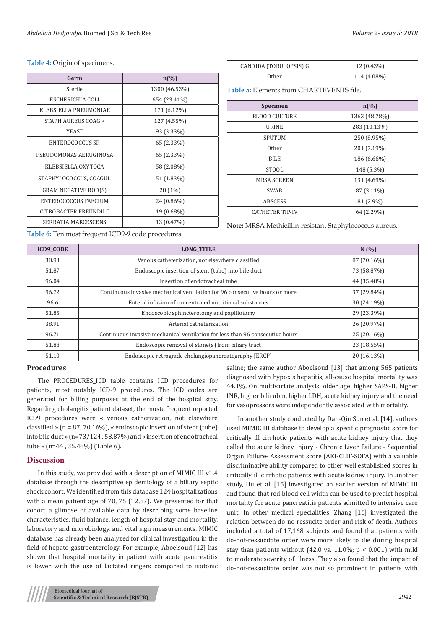#### **Table 4:** Origin of specimens.

| Germ                        | $n\left(\%\right)$ |
|-----------------------------|--------------------|
| Sterile                     | 1300 (46.53%)      |
| ESCHERICHIA COLI            | 654 (23.41%)       |
| KLEBSIELLA PNEUMONIAE       | 171 (6.12%)        |
| STAPH AUREUS COAG +         | 127 (4.55%)        |
| <b>YEAST</b>                | 93 (3.33%)         |
| ENTEROCOCCUS SP.            | 65 (2.33%)         |
| PSEUDOMONAS AERUGINOSA      | 65 (2.33%)         |
| KLEBSIELLA OXYTOCA          | 58 (2.08%)         |
| STAPHYLOCOCCUS, COAGUL      | 51 (1.83%)         |
| <b>GRAM NEGATIVE ROD(S)</b> | 28 (1%)            |
| <b>ENTEROCOCCUS FAECIUM</b> | 24 (0.86%)         |
| CITROBACTER FREUNDII C      | 19 (0.68%)         |
| SERRATIA MARCESCENS         | 13 (0.47%)         |

| CANDIDA (TORULOPSIS) G | 12 (0.43%)  |
|------------------------|-------------|
| Other.                 | 114 (4.08%) |

**Table 5:** Elements from CHARTEVENTS file.

| <b>Specimen</b>        | $n\left(\frac{0}{0}\right)$ |
|------------------------|-----------------------------|
| <b>BLOOD CULTURE</b>   | 1363 (48.78%)               |
| <b>URINE</b>           | 283 (10.13%)                |
| <b>SPUTUM</b>          | 250 (8.95%)                 |
| 0ther                  | 201 (7.19%)                 |
| <b>BILE</b>            | 186 (6.66%)                 |
| STOOL                  | 148 (5.3%)                  |
| <b>MRSA SCREEN</b>     | 131 (4.69%)                 |
| <b>SWAB</b>            | 87 (3.11%)                  |
| <b>ABSCESS</b>         | 81 (2.9%)                   |
| <b>CATHETER TIP-IV</b> | 64 (2.29%)                  |

**Note:** MRSA Methicillin-resistant Staphylococcus aureus.

**Table 6:** Ten most frequent ICD9-9 code procedures.

| <b>ICD9 CODE</b> | <b>LONG TITLE</b>                                                             | N(%)        |
|------------------|-------------------------------------------------------------------------------|-------------|
| 38.93            | Venous catheterization, not elsewhere classified                              | 87 (70.16%) |
| 51.87            | Endoscopic insertion of stent (tube) into bile duct                           | 73 (58.87%) |
| 96.04            | Insertion of endotracheal tube                                                | 44 (35.48%) |
| 96.72            | Continuous invasive mechanical ventilation for 96 consecutive hours or more   | 37 (29.84%) |
| 96.6             | Enteral infusion of concentrated nutritional substances                       | 30 (24.19%) |
| 51.85            | Endoscopic sphincterotomy and papillotomy                                     | 29 (23.39%) |
| 38.91            | Arterial catheterization                                                      | 26 (20.97%) |
| 96.71            | Continuous invasive mechanical ventilation for less than 96 consecutive hours | 25 (20.16%) |
| 51.88            | Endoscopic removal of stone(s) from biliary tract                             | 23 (18.55%) |
| 51.10            | Endoscopic retrograde cholangiopancreatography [ERCP]                         | 20 (16.13%) |

## **Procedures**

The PROCEDURES\_ICD table contains ICD procedures for patients, most notably ICD-9 procedures. The ICD codes are generated for billing purposes at the end of the hospital stay. Regarding cholangitis patient dataset, the moste frequent reported ICD9 procedures were « venous catherization, not elsewhere classified » (n = 87, 70,16%), « endoscopic insertion of stent (tube) into bile duct » (n=73/124 , 58.87%) and « insertion of endotracheal tube » (n=44 , 35.48%) (Table 6).

# **Discussion**

In this study, we provided with a description of MIMIC III v1.4 database through the descriptive epidemiology of a biliary septic shock cohort. We identified from this database 124 hospitalizations with a mean patient age of 70, 75 (12,57). We presented for that cohort a glimpse of available data by describing some baseline characteristics, fluid balance, length of hospital stay and mortality, laboratory and microbiology, and vital sign measurements. MIMIC database has already been analyzed for clinical investigation in the field of hepato-gastroenterology. For example, Aboelsoud [12] has shown that hospital mortality in patient with acute pancreatitis is lower with the use of lactated ringers compared to isotonic saline; the same author Aboelsoud [13] that among 565 patients diagnosed with hypoxis hepatitis, all-cause hospital mortality was 44.1%. On multivariate analysis, older age, higher SAPS-II, higher INR, higher bilirubin, higher LDH, acute kidney injury and the need for vasopressors were independently associated with mortality.

In another study conducted by Dan-Qin Sun et al. [14], authors used MIMIC III database to develop a specific prognostic score for critically ill cirrhotic patients with acute kidney injury that they called the acute kidney injury - Chronic Liver Failure - Sequential Organ Failure- Assessment score (AKI-CLIF-SOFA) with a valuable discriminative ability compared to other well established scores in critically ill cirrhotic patients with acute kidney injury. In another study, Hu et al. [15] investigated an earlier version of MIMIC III and found that red blood cell width can be used to predict hospital mortality for acute pancreatitis patients admitted to intensive care unit. In other medical specialities, Zhang [16] investigated the relation between do-no-ressucite order and risk of death. Authors included a total of 17,168 subjects and found that patients with do-not-ressucitate order were more likely to die during hospital stay than patients without (42.0 vs.  $11.0\%$ ; p < 0.001) with mild to moderate severity of illness .They also found that the impact of do-not-ressucitate order was not so prominent in patients with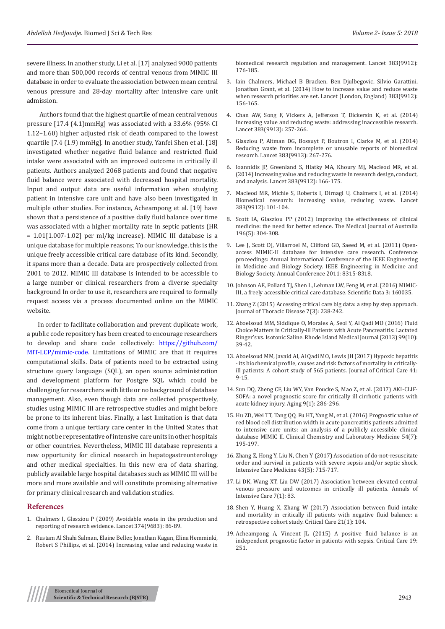severe illness. In another study, Li et al. [17] analyzed 9000 patients and more than 500,000 records of central venous from MIMIC III database in order to evaluate the association between mean central venous pressure and 28-day mortality after intensive care unit admission.

 Authors found that the highest quartile of mean central venous pressure [17.4 (4.1)mmHg] was associated with a 33.6% (95% CI 1.12–1.60) higher adjusted risk of death compared to the lowest quartile [7.4 (1.9) mmHg]. In another study, Yanfei Shen et al. [18] investigated whether negative fluid balance and restricted fluid intake were associated with an improved outcome in critically ill patients. Authors analyzed 2068 patients and found that negative fluid balance were associated with decreased hospital mortality. Input and output data are useful information when studying patient in intensive care unit and have also been investigated in multiple other studies. For instance, Acheampong et al. [19] have shown that a persistence of a positive daily fluid balance over time was associated with a higher mortality rate in septic patients (HR  $= 1.01[1.007-1.02]$  per ml/kg increase). MIMIC III database is a unique database for multiple reasons; To our knowledge, this is the unique freely accessible critical care database of its kind. Secondly, it spans more than a decade. Data are prospectively collected from 2001 to 2012. MIMIC III database is intended to be accessible to a large number or clinical researchers from a diverse specialty background In order to use it, researchers are required to formally request access via a process documented online on the MIMIC website.

In order to facilitate collaboration and prevent duplicate work, a public code repository has been created to encourage researchers to develop and share code collectively[: https://github.com/](https://github.com/MIT-LCP/mimic-code) [MIT-LCP/mimic-code](https://github.com/MIT-LCP/mimic-code). Limitations of MIMIC are that it requires computational skills. Data of patients need to be extracted using structure query language (SQL), an open source administration and development platform for Postgre SQL which could be challenging for researchers with little or no background of database management. Also, even though data are collected prospectively, studies using MIMIC III are retrospective studies and might before be prone to its inherent bias. Finally, a last limitation is that data come from a unique tertiary care center in the United States that might not be representative of intensive care units in other hospitals or other countries. Nevertheless, MIMIC III database represents a new opportunity for clinical research in hepatogastreonterology and other medical specialties. In this new era of data sharing, publicly available large hospital databases such as MIMIC III will be more and more available and will constitute promising alternative for primary clinical research and validation studies.

#### **References**

- 1. [Chalmers I, Glasziou P \(2009\) Avoidable waste in the production and](http://www.thelancet.com/journals/lancet/article/PIIS0140-6736%2809%2960329-9/fulltext)  [reporting of research evidence. Lancet 374\(9683\): 86-89.](http://www.thelancet.com/journals/lancet/article/PIIS0140-6736%2809%2960329-9/fulltext)
- 2. [Rustam Al Shahi Salman, Elaine Beller, Jonathan Kagan, Elina Hemminki,](http://www.thelancet.com/journals/lancet/article/PIIS0140-6736(13)62297-7/abstract)  [Robert S Phillips, et al. \(2014\) Increasing value and reducing waste in](http://www.thelancet.com/journals/lancet/article/PIIS0140-6736(13)62297-7/abstract)

[biomedical research regulation and management. Lancet 383\(9912\):](http://www.thelancet.com/journals/lancet/article/PIIS0140-6736(13)62297-7/abstract) [176-185.](http://www.thelancet.com/journals/lancet/article/PIIS0140-6736(13)62297-7/abstract)

- 3. [Iain Chalmers, Michael B Bracken, Ben Djulbegovic, Silvio Garattini,](http://www.thelancet.com/journals/lancet/article/PIIS0140-6736(13)62229-1/abstract) [Jonathan Grant, et al. \(2014\) How to increase value and reduce waste](http://www.thelancet.com/journals/lancet/article/PIIS0140-6736(13)62229-1/abstract) [when research priorities are set. Lancet \(London, England\) 383\(9912\):](http://www.thelancet.com/journals/lancet/article/PIIS0140-6736(13)62229-1/abstract) [156-165.](http://www.thelancet.com/journals/lancet/article/PIIS0140-6736(13)62229-1/abstract)
- 4. [Chan AW, Song F, Vickers A, Jefferson T, Dickersin K, et al. \(2014\)](https://www.ncbi.nlm.nih.gov/pubmed/24411650) [Increasing value and reducing waste: addressing inaccessible research.](https://www.ncbi.nlm.nih.gov/pubmed/24411650) [Lancet 383\(9913\): 257-266.](https://www.ncbi.nlm.nih.gov/pubmed/24411650)
- 5. [Glasziou P, Altman DG, Bossuyt P, Boutron I, Clarke M, et al. \(2014\)](https://www.ncbi.nlm.nih.gov/pubmed/24411647) [Reducing waste from incomplete or unusable reports of biomedical](https://www.ncbi.nlm.nih.gov/pubmed/24411647) [research. Lancet 383\(9913\): 267-276.](https://www.ncbi.nlm.nih.gov/pubmed/24411647)
- 6. [Ioannidis JP, Greenland S, Hlatky MA, Khoury MJ, Macleod MR, et al.](https://www.ncbi.nlm.nih.gov/pubmed/24411645) [\(2014\) Increasing value and reducing waste in research design, conduct,](https://www.ncbi.nlm.nih.gov/pubmed/24411645) [and analysis. Lancet 383\(9912\): 166-175.](https://www.ncbi.nlm.nih.gov/pubmed/24411645)
- 7. [Macleod MR, Michie S, Roberts I, Dirnagl U, Chalmers I, et al. \(2014\)](https://www.ncbi.nlm.nih.gov/pubmed/24411643) [Biomedical research: increasing value, reducing waste. Lancet](https://www.ncbi.nlm.nih.gov/pubmed/24411643) [383\(9912\): 101-104.](https://www.ncbi.nlm.nih.gov/pubmed/24411643)
- 8. [Scott IA, Glasziou PP \(2012\) Improving the effectiveness of clinical](https://www.mja.com.au/journal/2012/196/5/improving-effectiveness-clinical-medicine-need-better-science) [medicine: the need for better science. The Medical Journal of Australia](https://www.mja.com.au/journal/2012/196/5/improving-effectiveness-clinical-medicine-need-better-science) [196\(5\): 304-308.](https://www.mja.com.au/journal/2012/196/5/improving-effectiveness-clinical-medicine-need-better-science)
- 9. [Lee J, Scott DJ, Villarroel M, Clifford GD, Saeed M, et al. \(2011\) Open](http://ieeexplore.ieee.org/document/6092050/)[access MIMIC-II database for intensive care research. Conference](http://ieeexplore.ieee.org/document/6092050/) [proceedings: Annual International Conference of the IEEE Engineering](http://ieeexplore.ieee.org/document/6092050/) [in Medicine and Biology Society. IEEE Engineering in Medicine and](http://ieeexplore.ieee.org/document/6092050/) [Biology Society. Annual Conference 2011: 8315-8318.](http://ieeexplore.ieee.org/document/6092050/)
- 10. [Johnson AE, Pollard TJ, Shen L, Lehman LW, Feng M, et al. \(2016\) MIMIC-](https://www.ncbi.nlm.nih.gov/pubmed/27219127)[III, a freely accessible critical care database. Scientific Data 3: 160035.](https://www.ncbi.nlm.nih.gov/pubmed/27219127)
- 11. [Zhang Z \(2015\) Accessing critical care big data: a step by step approach.](https://www.ncbi.nlm.nih.gov/pubmed/25922699) [Journal of Thoracic Disease 7\(3\): 238-242.](https://www.ncbi.nlm.nih.gov/pubmed/25922699)
- 12. [Aboelsoud MM, Siddique O, Morales A, Seol Y, Al Qadi MO \(2016\) Fluid](https://www.ncbi.nlm.nih.gov/pubmed/27706278) [Choice Matters in Critically-ill Patients with Acute Pancreatitis: Lactated](https://www.ncbi.nlm.nih.gov/pubmed/27706278) [Ringer's vs. Isotonic Saline. Rhode Island Medical Journal \(2013\) 99\(10\):](https://www.ncbi.nlm.nih.gov/pubmed/27706278) [39-42.](https://www.ncbi.nlm.nih.gov/pubmed/27706278)
- 13. [Aboelsoud MM, Javaid AI, Al Qadi MO, Lewis JH \(2017\) Hypoxic hepatitis](https://www.ncbi.nlm.nih.gov/pubmed/28460210) [- its biochemical profile, causes and risk factors of mortality in critically](https://www.ncbi.nlm.nih.gov/pubmed/28460210)[ill patients: A cohort study of 565 patients. Journal of Critical Care 41:](https://www.ncbi.nlm.nih.gov/pubmed/28460210) [9-15.](https://www.ncbi.nlm.nih.gov/pubmed/28460210)
- 14. [Sun DQ, Zheng CF, Liu WY, Van Poucke S, Mao Z, et al. \(2017\) AKI-CLIF-](https://www.ncbi.nlm.nih.gov/pubmed/28114104/)[SOFA: a novel prognostic score for critically ill cirrhotic patients with](https://www.ncbi.nlm.nih.gov/pubmed/28114104/) [acute kidney injury. Aging 9\(1\): 286-296.](https://www.ncbi.nlm.nih.gov/pubmed/28114104/)
- 15. [Hu ZD, Wei TT, Tang QQ, Fu HT, Yang M, et al. \(2016\) Prognostic value of](https://www.ncbi.nlm.nih.gov/pubmed/26812874) [red blood cell distribution width in acute pancreatitis patients admitted](https://www.ncbi.nlm.nih.gov/pubmed/26812874) [to intensive care units: an analysis of a publicly accessible clinical](https://www.ncbi.nlm.nih.gov/pubmed/26812874) [database MIMIC II. Clinical Chemistry and Laboratory Medicine 54\(7\):](https://www.ncbi.nlm.nih.gov/pubmed/26812874) [195-197.](https://www.ncbi.nlm.nih.gov/pubmed/26812874)
- 16. [Zhang Z, Hong Y, Liu N, Chen Y \(2017\) Association of do-not-resuscitate](https://link.springer.com/article/10.1007%2Fs00134-017-4690-7) [order and survival in patients with severe sepsis and/or septic shock.](https://link.springer.com/article/10.1007%2Fs00134-017-4690-7) [Intensive Care Medicine 43\(5\): 715-717.](https://link.springer.com/article/10.1007%2Fs00134-017-4690-7)
- 17. [Li DK, Wang XT, Liu DW \(2017\) Association between elevated central](https://www.ncbi.nlm.nih.gov/pubmed/28795349) [venous pressure and outcomes in critically ill patients. Annals of](https://www.ncbi.nlm.nih.gov/pubmed/28795349) [Intensive Care 7\(1\): 83.](https://www.ncbi.nlm.nih.gov/pubmed/28795349)
- 18. [Shen Y, Huang X, Zhang W \(2017\) Association between fluid intake](https://www.ncbi.nlm.nih.gov/pubmed/28494815) [and mortality in critically ill patients with negative fluid balance: a](https://www.ncbi.nlm.nih.gov/pubmed/28494815) [retrospective cohort study. Critical Care 21\(1\): 104.](https://www.ncbi.nlm.nih.gov/pubmed/28494815)
- 19. [Acheampong A, Vincent JL \(2015\) A positive fluid balance is an](https://www.ncbi.nlm.nih.gov/pubmed/26073560) [independent prognostic factor in patients with sepsis. Critical Care 19:](https://www.ncbi.nlm.nih.gov/pubmed/26073560) [251.](https://www.ncbi.nlm.nih.gov/pubmed/26073560)